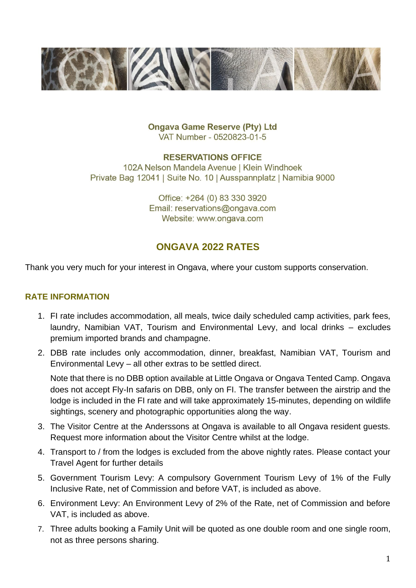

**Ongava Game Reserve (Pty) Ltd** VAT Number - 0520823-01-5

#### **RESERVATIONS OFFICE**

102A Nelson Mandela Avenue | Klein Windhoek Private Bag 12041 | Suite No. 10 | Ausspannplatz | Namibia 9000

> Office: +264 (0) 83 330 3920 Email: reservations@ongava.com Website: www.ongava.com

# **ONGAVA 2022 RATES**

Thank you very much for your interest in Ongava, where your custom supports conservation.

# **RATE INFORMATION**

- 1. FI rate includes accommodation, all meals, twice daily scheduled camp activities, park fees, laundry, Namibian VAT, Tourism and Environmental Levy, and local drinks – excludes premium imported brands and champagne.
- 2. DBB rate includes only accommodation, dinner, breakfast, Namibian VAT, Tourism and Environmental Levy – all other extras to be settled direct.

Note that there is no DBB option available at Little Ongava or Ongava Tented Camp. Ongava does not accept Fly-In safaris on DBB, only on FI. The transfer between the airstrip and the lodge is included in the FI rate and will take approximately 15-minutes, depending on wildlife sightings, scenery and photographic opportunities along the way.

- 3. The Visitor Centre at the Anderssons at Ongava is available to all Ongava resident guests. Request more information about the Visitor Centre whilst at the lodge.
- 4. Transport to / from the lodges is excluded from the above nightly rates. Please contact your Travel Agent for further details
- 5. Government Tourism Levy: A compulsory Government Tourism Levy of 1% of the Fully Inclusive Rate, net of Commission and before VAT, is included as above.
- 6. Environment Levy: An Environment Levy of 2% of the Rate, net of Commission and before VAT, is included as above.
- 7. Three adults booking a Family Unit will be quoted as one double room and one single room, not as three persons sharing.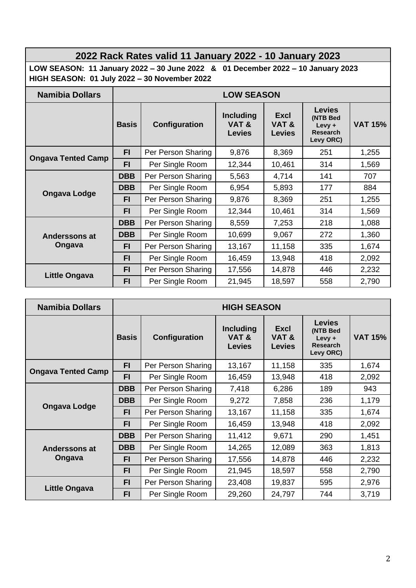# **2022 Rack Rates valid 11 January 2022 - 10 January 2023**

**LOW SEASON: 11 January 2022 – 30 June 2022 & 01 December 2022 – 10 January 2023 HIGH SEASON: 01 July 2022 – 30 November 2022**

| <b>Namibia Dollars</b>         | <b>LOW SEASON</b> |                    |                                           |                               |                                                                        |                |  |  |
|--------------------------------|-------------------|--------------------|-------------------------------------------|-------------------------------|------------------------------------------------------------------------|----------------|--|--|
|                                | <b>Basis</b>      | Configuration      | <b>Including</b><br>VAT&<br><b>Levies</b> | Excl<br>VAT&<br><b>Levies</b> | <b>Levies</b><br>(NTB Bed<br>$L$ evy +<br><b>Research</b><br>Levy ORC) | <b>VAT 15%</b> |  |  |
| <b>Ongava Tented Camp</b>      | FI                | Per Person Sharing | 9,876                                     | 8,369                         | 251                                                                    | 1,255          |  |  |
|                                | <b>FI</b>         | Per Single Room    | 12,344                                    | 10,461                        | 314                                                                    | 1,569          |  |  |
| <b>Ongava Lodge</b>            | <b>DBB</b>        | Per Person Sharing | 5,563                                     | 4,714                         | 141                                                                    | 707            |  |  |
|                                | <b>DBB</b>        | Per Single Room    | 6,954                                     | 5,893                         | 177                                                                    | 884            |  |  |
|                                | <b>FI</b>         | Per Person Sharing | 9,876                                     | 8,369                         | 251                                                                    | 1,255          |  |  |
|                                | FI.               | Per Single Room    | 12,344                                    | 10,461                        | 314                                                                    | 1,569          |  |  |
| <b>Anderssons at</b><br>Ongava | <b>DBB</b>        | Per Person Sharing | 8,559                                     | 7,253                         | 218                                                                    | 1,088          |  |  |
|                                | <b>DBB</b>        | Per Single Room    | 10,699                                    | 9,067                         | 272                                                                    | 1,360          |  |  |
|                                | FI.               | Per Person Sharing | 13,167                                    | 11,158                        | 335                                                                    | 1,674          |  |  |
|                                | <b>FI</b>         | Per Single Room    | 16,459                                    | 13,948                        | 418                                                                    | 2,092          |  |  |
| Little Ongava                  | <b>FI</b>         | Per Person Sharing | 17,556                                    | 14,878                        | 446                                                                    | 2,232          |  |  |
|                                | <b>FI</b>         | Per Single Room    | 21,945                                    | 18,597                        | 558                                                                    | 2,790          |  |  |

| <b>Namibia Dollars</b>    | <b>HIGH SEASON</b> |                    |                                           |                                      |                                                                        |                |  |
|---------------------------|--------------------|--------------------|-------------------------------------------|--------------------------------------|------------------------------------------------------------------------|----------------|--|
|                           | <b>Basis</b>       | Configuration      | <b>Including</b><br>VAT&<br><b>Levies</b> | <b>Excl</b><br>VAT&<br><b>Levies</b> | <b>Levies</b><br>(NTB Bed<br>$L$ evy +<br><b>Research</b><br>Levy ORC) | <b>VAT 15%</b> |  |
| <b>Ongava Tented Camp</b> | FI.                | Per Person Sharing | 13,167                                    | 11,158                               | 335                                                                    | 1,674          |  |
|                           | <b>FI</b>          | Per Single Room    | 16,459                                    | 13,948                               | 418                                                                    | 2,092          |  |
| <b>Ongava Lodge</b>       | <b>DBB</b>         | Per Person Sharing | 7,418                                     | 6,286                                | 189                                                                    | 943            |  |
|                           | <b>DBB</b>         | Per Single Room    | 9,272                                     | 7,858                                | 236                                                                    | 1,179          |  |
|                           | FI                 | Per Person Sharing | 13,167                                    | 11,158                               | 335                                                                    | 1,674          |  |
|                           | FI                 | Per Single Room    | 16,459                                    | 13,948                               | 418                                                                    | 2,092          |  |
| Anderssons at<br>Ongava   | <b>DBB</b>         | Per Person Sharing | 11,412                                    | 9,671                                | 290                                                                    | 1,451          |  |
|                           | <b>DBB</b>         | Per Single Room    | 14,265                                    | 12,089                               | 363                                                                    | 1,813          |  |
|                           | FI                 | Per Person Sharing | 17,556                                    | 14,878                               | 446                                                                    | 2,232          |  |
|                           | <b>FI</b>          | Per Single Room    | 21,945                                    | 18,597                               | 558                                                                    | 2,790          |  |
| <b>Little Ongava</b>      | <b>FI</b>          | Per Person Sharing | 23,408                                    | 19,837                               | 595                                                                    | 2,976          |  |
|                           | FI                 | Per Single Room    | 29,260                                    | 24,797                               | 744                                                                    | 3,719          |  |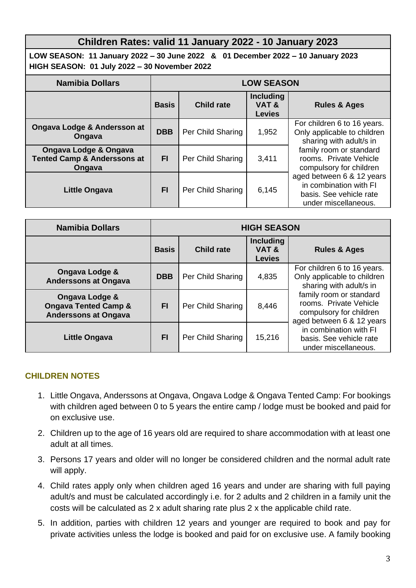# **Children Rates: valid 11 January 2022 - 10 January 2023**

**LOW SEASON: 11 January 2022 – 30 June 2022 & 01 December 2022 – 10 January 2023 HIGH SEASON: 01 July 2022 – 30 November 2022**

| <b>Namibia Dollars</b>                                                    | <b>LOW SEASON</b> |                   |                                           |                                                                                                        |
|---------------------------------------------------------------------------|-------------------|-------------------|-------------------------------------------|--------------------------------------------------------------------------------------------------------|
|                                                                           | <b>Basis</b>      | <b>Child rate</b> | <b>Including</b><br>VAT&<br><b>Levies</b> | <b>Rules &amp; Ages</b>                                                                                |
| Ongava Lodge & Andersson at<br>Ongava                                     | <b>DBB</b>        | Per Child Sharing | 1,952                                     | For children 6 to 16 years.<br>Only applicable to children<br>sharing with adult/s in                  |
| Ongava Lodge & Ongava<br><b>Tented Camp &amp; Anderssons at</b><br>Ongava | <b>FI</b>         | Per Child Sharing | 3,411                                     | family room or standard<br>rooms. Private Vehicle<br>compulsory for children                           |
| <b>Little Ongava</b>                                                      | <b>FI</b>         | Per Child Sharing | 6,145                                     | aged between 6 & 12 years<br>in combination with FI<br>basis. See vehicle rate<br>under miscellaneous. |

| <b>Namibia Dollars</b>                                                                      | <b>HIGH SEASON</b> |                   |                                           |                                                                                                           |
|---------------------------------------------------------------------------------------------|--------------------|-------------------|-------------------------------------------|-----------------------------------------------------------------------------------------------------------|
|                                                                                             | <b>Basis</b>       | <b>Child rate</b> | <b>Including</b><br>VAT&<br><b>Levies</b> | <b>Rules &amp; Ages</b>                                                                                   |
| Ongava Lodge &<br><b>Anderssons at Ongava</b>                                               | <b>DBB</b>         | Per Child Sharing | 4,835                                     | For children 6 to 16 years.<br>Only applicable to children<br>sharing with adult/s in                     |
| <b>Ongava Lodge &amp;</b><br><b>Ongava Tented Camp &amp;</b><br><b>Anderssons at Ongava</b> | FI                 | Per Child Sharing | 8,446                                     | family room or standard<br>rooms. Private Vehicle<br>compulsory for children<br>aged between 6 & 12 years |
| <b>Little Ongava</b>                                                                        | FI                 | Per Child Sharing | 15,216                                    | in combination with FI<br>basis. See vehicle rate<br>under miscellaneous.                                 |

### **CHILDREN NOTES**

- 1. Little Ongava, Anderssons at Ongava, Ongava Lodge & Ongava Tented Camp: For bookings with children aged between 0 to 5 years the entire camp / lodge must be booked and paid for on exclusive use.
- 2. Children up to the age of 16 years old are required to share accommodation with at least one adult at all times.
- 3. Persons 17 years and older will no longer be considered children and the normal adult rate will apply.
- 4. Child rates apply only when children aged 16 years and under are sharing with full paying adult/s and must be calculated accordingly i.e. for 2 adults and 2 children in a family unit the costs will be calculated as 2 x adult sharing rate plus 2 x the applicable child rate.
- 5. In addition, parties with children 12 years and younger are required to book and pay for private activities unless the lodge is booked and paid for on exclusive use. A family booking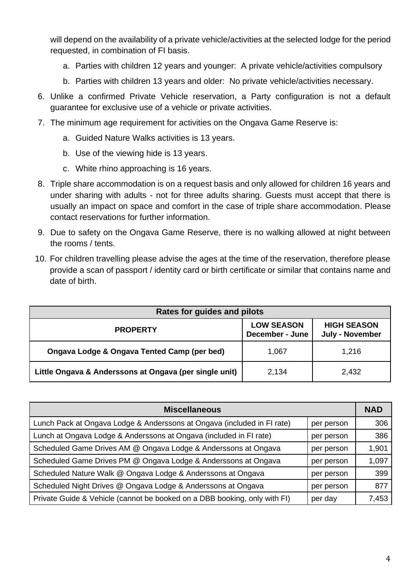will depend on the availability of a private vehicle/activities at the selected lodge for the period requested, in combination of FI basis.

- a. Parties with children 12 years and younger: A private vehicle/activities compulsory
- b. Parties with children 13 years and older: No private vehicle/activities necessary.
- 6. Unlike a confirmed Private Vehicle reservation, a Party configuration is not a default guarantee for exclusive use of a vehicle or private activities.
- 7. The minimum age requirement for activities on the Ongava Game Reserve is:
	- a. Guided Nature Walks activities is 13 years.
	- b. Use of the viewing hide is 13 years.
	- c. White rhino approaching is 16 years.
- 8. Triple share accommodation is on a request basis and only allowed for children 16 years and under sharing with adults - not for three adults sharing. Guests must accept that there is usually an impact on space and comfort in the case of triple share accommodation. Please contact reservations for further information.
- 9. Due to safety on the Ongava Game Reserve, there is no walking allowed at night between the rooms / tents.
- 10. For children travelling please advise the ages at the time of the reservation, therefore please provide a scan of passport / identity card or birth certificate or similar that contains name and date of birth.

| <b>Rates for guides and pilots</b>                     |                                      |                                              |  |  |  |
|--------------------------------------------------------|--------------------------------------|----------------------------------------------|--|--|--|
| <b>PROPERTY</b>                                        | <b>LOW SEASON</b><br>December - June | <b>HIGH SEASON</b><br><b>July - November</b> |  |  |  |
| Ongava Lodge & Ongava Tented Camp (per bed)            | 1,067                                | 1,216                                        |  |  |  |
| Little Ongava & Anderssons at Ongava (per single unit) | 2,134                                | 2,432                                        |  |  |  |

| <b>Miscellaneous</b>                                                      |            |       |  |  |
|---------------------------------------------------------------------------|------------|-------|--|--|
| Lunch Pack at Ongava Lodge & Anderssons at Ongava (included in FI rate)   | per person | 306   |  |  |
| Lunch at Ongava Lodge & Anderssons at Ongava (included in FI rate)        | per person | 386   |  |  |
| Scheduled Game Drives AM @ Ongava Lodge & Anderssons at Ongava            | per person | 1,901 |  |  |
| Scheduled Game Drives PM @ Ongava Lodge & Anderssons at Ongava            | per person | 1,097 |  |  |
| Scheduled Nature Walk @ Ongava Lodge & Anderssons at Ongava               | per person | 399   |  |  |
| Scheduled Night Drives @ Ongava Lodge & Anderssons at Ongava              | per person | 877   |  |  |
| Private Guide & Vehicle (cannot be booked on a DBB booking, only with FI) | per day    | 7,453 |  |  |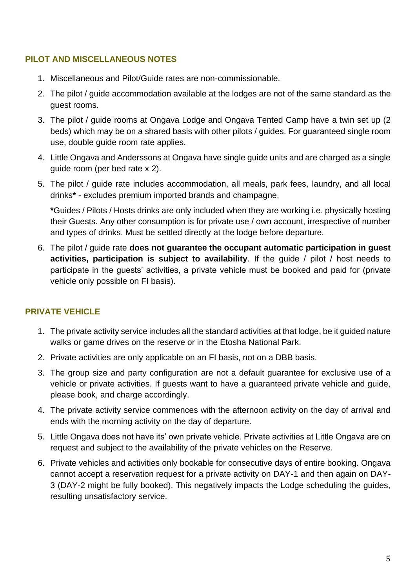# **PILOT AND MISCELLANEOUS NOTES**

- 1. Miscellaneous and Pilot/Guide rates are non-commissionable.
- 2. The pilot / guide accommodation available at the lodges are not of the same standard as the guest rooms.
- 3. The pilot / guide rooms at Ongava Lodge and Ongava Tented Camp have a twin set up (2 beds) which may be on a shared basis with other pilots / guides. For guaranteed single room use, double guide room rate applies.
- 4. Little Ongava and Anderssons at Ongava have single guide units and are charged as a single guide room (per bed rate x 2).
- 5. The pilot / guide rate includes accommodation, all meals, park fees, laundry, and all local drinks**\*** - excludes premium imported brands and champagne.

**\***Guides / Pilots / Hosts drinks are only included when they are working i.e. physically hosting their Guests. Any other consumption is for private use / own account, irrespective of number and types of drinks. Must be settled directly at the lodge before departure.

6. The pilot / guide rate **does not guarantee the occupant automatic participation in guest activities, participation is subject to availability**. If the guide / pilot / host needs to participate in the guests' activities, a private vehicle must be booked and paid for (private vehicle only possible on FI basis).

# **PRIVATE VEHICLE**

- 1. The private activity service includes all the standard activities at that lodge, be it guided nature walks or game drives on the reserve or in the Etosha National Park.
- 2. Private activities are only applicable on an FI basis, not on a DBB basis.
- 3. The group size and party configuration are not a default guarantee for exclusive use of a vehicle or private activities. If guests want to have a guaranteed private vehicle and guide, please book, and charge accordingly.
- 4. The private activity service commences with the afternoon activity on the day of arrival and ends with the morning activity on the day of departure.
- 5. Little Ongava does not have its' own private vehicle. Private activities at Little Ongava are on request and subject to the availability of the private vehicles on the Reserve.
- 6. Private vehicles and activities only bookable for consecutive days of entire booking. Ongava cannot accept a reservation request for a private activity on DAY-1 and then again on DAY-3 (DAY-2 might be fully booked). This negatively impacts the Lodge scheduling the guides, resulting unsatisfactory service.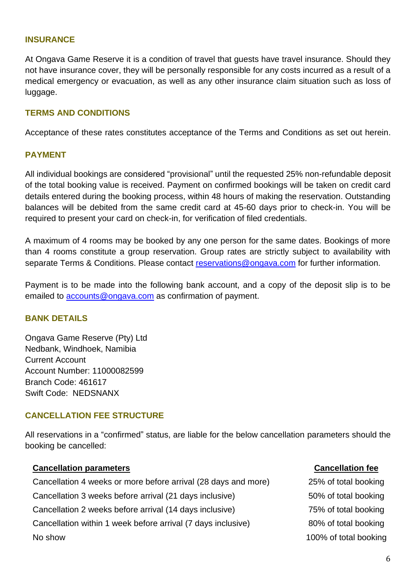#### **INSURANCE**

At Ongava Game Reserve it is a condition of travel that guests have travel insurance. Should they not have insurance cover, they will be personally responsible for any costs incurred as a result of a medical emergency or evacuation, as well as any other insurance claim situation such as loss of luggage.

#### **TERMS AND CONDITIONS**

Acceptance of these rates constitutes acceptance of the Terms and Conditions as set out herein.

#### **PAYMENT**

All individual bookings are considered "provisional" until the requested 25% non-refundable deposit of the total booking value is received. Payment on confirmed bookings will be taken on credit card details entered during the booking process, within 48 hours of making the reservation. Outstanding balances will be debited from the same credit card at 45-60 days prior to check-in. You will be required to present your card on check-in, for verification of filed credentials.

A maximum of 4 rooms may be booked by any one person for the same dates. Bookings of more than 4 rooms constitute a group reservation. Group rates are strictly subject to availability with separate Terms & Conditions. Please contact [reservations@ongava.com](mailto:reservations@ongava.com) for further information.

Payment is to be made into the following bank account, and a copy of the deposit slip is to be emailed to [accounts@ongava.com](mailto:accounts@ongava.com) as confirmation of payment.

#### **BANK DETAILS**

Ongava Game Reserve (Pty) Ltd Nedbank, Windhoek, Namibia Current Account Account Number: 11000082599 Branch Code: 461617 Swift Code: NEDSNANX

#### **CANCELLATION FEE STRUCTURE**

All reservations in a "confirmed" status, are liable for the below cancellation parameters should the booking be cancelled:

# **Cancellation parameters Cancellation fee** Cancellation 4 weeks or more before arrival (28 days and more) 25% of total booking Cancellation 3 weeks before arrival (21 days inclusive) 50% of total booking Cancellation 2 weeks before arrival (14 days inclusive) 75% of total booking Cancellation within 1 week before arrival (7 days inclusive) 80% of total booking No show 100% of total booking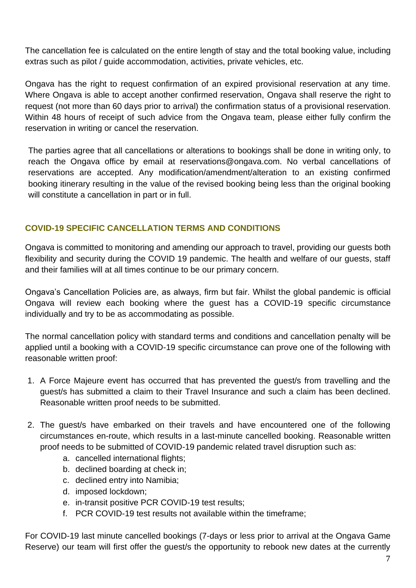The cancellation fee is calculated on the entire length of stay and the total booking value, including extras such as pilot / guide accommodation, activities, private vehicles, etc.

Ongava has the right to request confirmation of an expired provisional reservation at any time. Where Ongava is able to accept another confirmed reservation, Ongava shall reserve the right to request (not more than 60 days prior to arrival) the confirmation status of a provisional reservation. Within 48 hours of receipt of such advice from the Ongava team, please either fully confirm the reservation in writing or cancel the reservation.

The parties agree that all cancellations or alterations to bookings shall be done in writing only, to reach the Ongava office by email at reservations@ongava.com. No verbal cancellations of reservations are accepted. Any modification/amendment/alteration to an existing confirmed booking itinerary resulting in the value of the revised booking being less than the original booking will constitute a cancellation in part or in full.

# **COVID-19 SPECIFIC CANCELLATION TERMS AND CONDITIONS**

Ongava is committed to monitoring and amending our approach to travel, providing our guests both flexibility and security during the COVID 19 pandemic. The health and welfare of our guests, staff and their families will at all times continue to be our primary concern.

Ongava's Cancellation Policies are, as always, firm but fair. Whilst the global pandemic is official Ongava will review each booking where the guest has a COVID-19 specific circumstance individually and try to be as accommodating as possible.

The normal cancellation policy with standard terms and conditions and cancellation penalty will be applied until a booking with a COVID-19 specific circumstance can prove one of the following with reasonable written proof:

- 1. A Force Majeure event has occurred that has prevented the guest/s from travelling and the guest/s has submitted a claim to their Travel Insurance and such a claim has been declined. Reasonable written proof needs to be submitted.
- 2. The guest/s have embarked on their travels and have encountered one of the following circumstances en-route, which results in a last-minute cancelled booking. Reasonable written proof needs to be submitted of COVID-19 pandemic related travel disruption such as:
	- a. cancelled international flights;
	- b. declined boarding at check in;
	- c. declined entry into Namibia;
	- d. imposed lockdown;
	- e. in-transit positive PCR COVID-19 test results;
	- f. PCR COVID-19 test results not available within the timeframe;

For COVID-19 last minute cancelled bookings (7-days or less prior to arrival at the Ongava Game Reserve) our team will first offer the guest/s the opportunity to rebook new dates at the currently